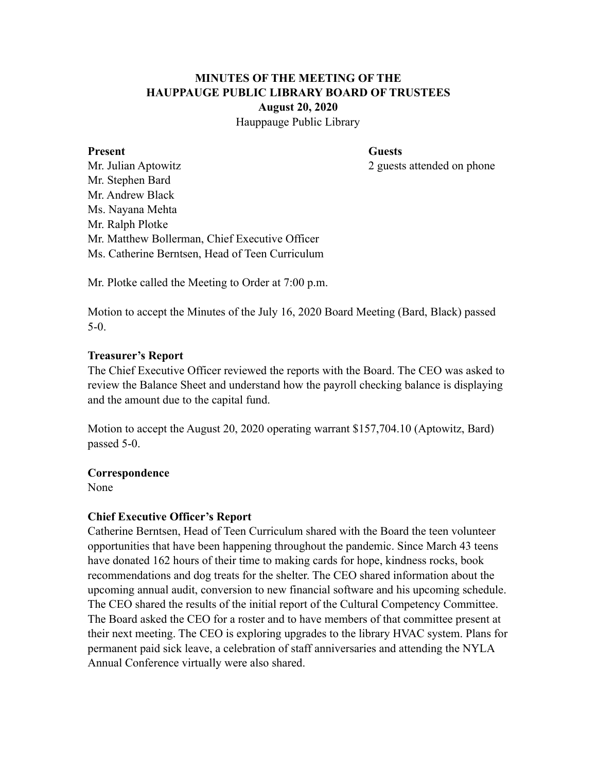# **MINUTES OF THE MEETING OF THE HAUPPAUGE PUBLIC LIBRARY BOARD OF TRUSTEES August 20, 2020**

Hauppauge Public Library

#### **Present Guests**

Mr. Julian Aptowitz 2 guests attended on phone Mr. Stephen Bard Mr. Andrew Black Ms. Nayana Mehta Mr. Ralph Plotke Mr. Matthew Bollerman, Chief Executive Officer Ms. Catherine Berntsen, Head of Teen Curriculum

Mr. Plotke called the Meeting to Order at 7:00 p.m.

Motion to accept the Minutes of the July 16, 2020 Board Meeting (Bard, Black) passed 5-0.

#### **Treasurer's Report**

The Chief Executive Officer reviewed the reports with the Board. The CEO was asked to review the Balance Sheet and understand how the payroll checking balance is displaying and the amount due to the capital fund.

Motion to accept the August 20, 2020 operating warrant \$157,704.10 (Aptowitz, Bard) passed 5-0.

#### **Correspondence**

None

### **Chief Executive Officer's Report**

Catherine Berntsen, Head of Teen Curriculum shared with the Board the teen volunteer opportunities that have been happening throughout the pandemic. Since March 43 teens have donated 162 hours of their time to making cards for hope, kindness rocks, book recommendations and dog treats for the shelter. The CEO shared information about the upcoming annual audit, conversion to new financial software and his upcoming schedule. The CEO shared the results of the initial report of the Cultural Competency Committee. The Board asked the CEO for a roster and to have members of that committee present at their next meeting. The CEO is exploring upgrades to the library HVAC system. Plans for permanent paid sick leave, a celebration of staff anniversaries and attending the NYLA Annual Conference virtually were also shared.